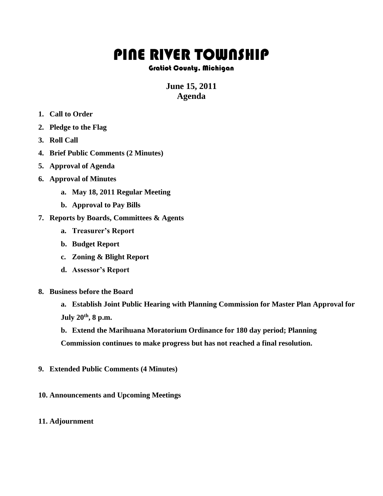## PINE RIVER TOWNSHIP

## Gratiot County, Michigan

## **June 15, 2011 Agenda**

- **1. Call to Order**
- **2. Pledge to the Flag**
- **3. Roll Call**
- **4. Brief Public Comments (2 Minutes)**
- **5. Approval of Agenda**
- **6. Approval of Minutes**
	- **a. May 18, 2011 Regular Meeting**
	- **b. Approval to Pay Bills**
- **7. Reports by Boards, Committees & Agents**
	- **a. Treasurer's Report**
	- **b. Budget Report**
	- **c. Zoning & Blight Report**
	- **d. Assessor's Report**
- **8. Business before the Board**
	- **a. Establish Joint Public Hearing with Planning Commission for Master Plan Approval for July 20th, 8 p.m.**
	- **b. Extend the Marihuana Moratorium Ordinance for 180 day period; Planning Commission continues to make progress but has not reached a final resolution.**
- **9. Extended Public Comments (4 Minutes)**
- **10. Announcements and Upcoming Meetings**
- **11. Adjournment**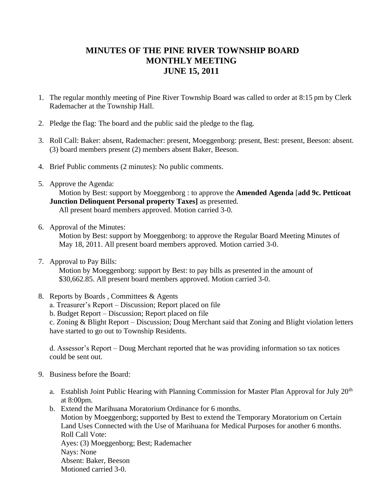## **MINUTES OF THE PINE RIVER TOWNSHIP BOARD MONTHLY MEETING JUNE 15, 2011**

- 1. The regular monthly meeting of Pine River Township Board was called to order at 8:15 pm by Clerk Rademacher at the Township Hall.
- 2. Pledge the flag: The board and the public said the pledge to the flag.
- 3. Roll Call: Baker: absent, Rademacher: present, Moeggenborg: present, Best: present, Beeson: absent. (3) board members present (2) members absent Baker, Beeson.
- 4. Brief Public comments (2 minutes): No public comments.
- 5. Approve the Agenda:

 Motion by Best: support by Moeggenborg : to approve the **Amended Agenda** [**add 9c. Petticoat Junction Delinquent Personal property Taxes]** as presented. All present board members approved. Motion carried 3-0.

6. Approval of the Minutes:

Motion by Best: support by Moeggenborg: to approve the Regular Board Meeting Minutes of May 18, 2011. All present board members approved. Motion carried 3-0.

7. Approval to Pay Bills:

 Motion by Moeggenborg: support by Best: to pay bills as presented in the amount of \$30,662.85. All present board members approved. Motion carried 3-0.

- 8. Reports by Boards , Committees & Agents
	- a. Treasurer's Report Discussion; Report placed on file
	- b. Budget Report Discussion; Report placed on file

c. Zoning & Blight Report – Discussion; Doug Merchant said that Zoning and Blight violation letters have started to go out to Township Residents.

d. Assessor's Report – Doug Merchant reported that he was providing information so tax notices could be sent out.

- 9. Business before the Board:
	- a. Establish Joint Public Hearing with Planning Commission for Master Plan Approval for July 20<sup>th</sup> at 8:00pm.
	- b. Extend the Marihuana Moratorium Ordinance for 6 months. Motion by Moeggenborg; supported by Best to extend the Temporary Moratorium on Certain Land Uses Connected with the Use of Marihuana for Medical Purposes for another 6 months. Roll Call Vote:

Ayes: (3) Moeggenborg; Best; Rademacher Nays: None Absent: Baker, Beeson

Motioned carried 3-0.